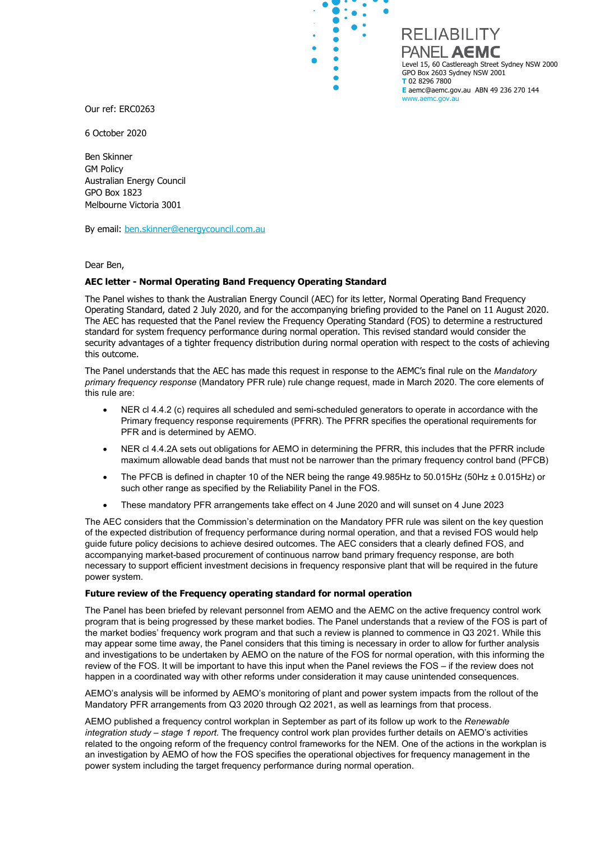

Our ref: ERC0263

6 October 2020

Ben Skinner GM Policy Australian Energy Council GPO Box 1823 Melbourne Victoria 3001

By email: [ben.skinner@energycouncil.com.au](mailto:ben.skinner@energycouncil.com.au)

Dear Ben,

## **AEC letter - Normal Operating Band Frequency Operating Standard**

The Panel wishes to thank the Australian Energy Council (AEC) for its letter, Normal Operating Band Frequency Operating Standard, dated 2 July 2020, and for the accompanying briefing provided to the Panel on 11 August 2020. The AEC has requested that the Panel review the Frequency Operating Standard (FOS) to determine a restructured standard for system frequency performance during normal operation. This revised standard would consider the security advantages of a tighter frequency distribution during normal operation with respect to the costs of achieving this outcome.

 $\bullet$ 

 $\ddot{\phantom{0}}$  $\bullet$  $\bullet$  $\bullet$ 

The Panel understands that the AEC has made this request in response to the AEMC's final rule on the *Mandatory primary frequency response* (Mandatory PFR rule) rule change request, made in March 2020. The core elements of this rule are:

- NER cl 4.4.2 (c) requires all scheduled and semi-scheduled generators to operate in accordance with the Primary frequency response requirements (PFRR). The PFRR specifies the operational requirements for PFR and is determined by AEMO.
- NER cl 4.4.2A sets out obligations for AEMO in determining the PFRR, this includes that the PFRR include maximum allowable dead bands that must not be narrower than the primary frequency control band (PFCB)
- The PFCB is defined in chapter 10 of the NER being the range 49.985Hz to 50.015Hz (50Hz ± 0.015Hz) or such other range as specified by the Reliability Panel in the FOS.
- These mandatory PFR arrangements take effect on 4 June 2020 and will sunset on 4 June 2023

The AEC considers that the Commission's determination on the Mandatory PFR rule was silent on the key question of the expected distribution of frequency performance during normal operation, and that a revised FOS would help guide future policy decisions to achieve desired outcomes. The AEC considers that a clearly defined FOS, and accompanying market-based procurement of continuous narrow band primary frequency response, are both necessary to support efficient investment decisions in frequency responsive plant that will be required in the future power system.

## **Future review of the Frequency operating standard for normal operation**

The Panel has been briefed by relevant personnel from AEMO and the AEMC on the active frequency control work program that is being progressed by these market bodies. The Panel understands that a review of the FOS is part of the market bodies' frequency work program and that such a review is planned to commence in Q3 2021. While this may appear some time away, the Panel considers that this timing is necessary in order to allow for further analysis and investigations to be undertaken by AEMO on the nature of the FOS for normal operation, with this informing the review of the FOS. It will be important to have this input when the Panel reviews the FOS – if the review does not happen in a coordinated way with other reforms under consideration it may cause unintended consequences.

AEMO's analysis will be informed by AEMO's monitoring of plant and power system impacts from the rollout of the Mandatory PFR arrangements from Q3 2020 through Q2 2021, as well as learnings from that process.

AEMO published a frequency control workplan in September as part of its follow up work to the *Renewable integration study – stage 1 report.* The frequency control work plan provides further details on AEMO's activities related to the ongoing reform of the frequency control frameworks for the NEM. One of the actions in the workplan is an investigation by AEMO of how the FOS specifies the operational objectives for frequency management in the power system including the target frequency performance during normal operation.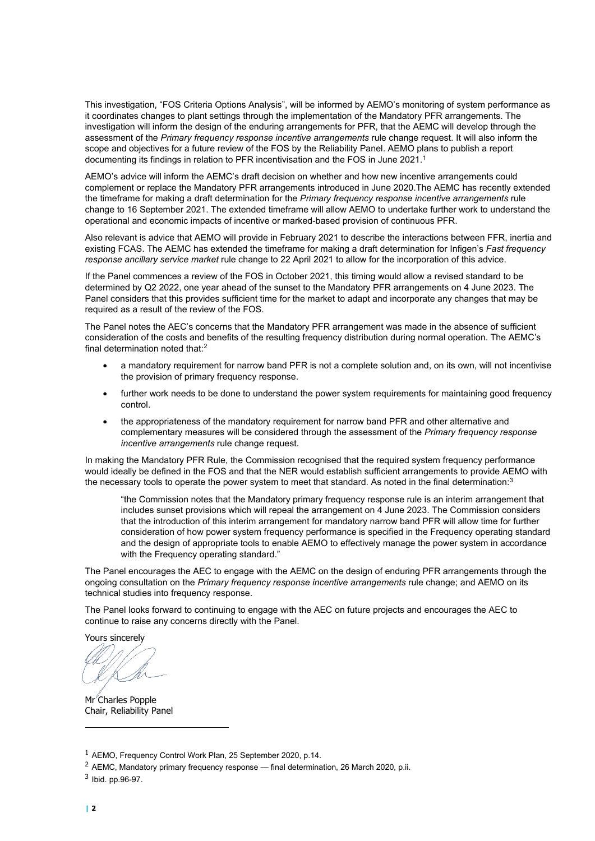This investigation, "FOS Criteria Options Analysis", will be informed by AEMO's monitoring of system performance as it coordinates changes to plant settings through the implementation of the Mandatory PFR arrangements. The investigation will inform the design of the enduring arrangements for PFR, that the AEMC will develop through the assessment of the *Primary frequency response incentive arrangements* rule change request. It will also inform the scope and objectives for a future review of the FOS by the Reliability Panel. AEMO plans to publish a report documenting its findings in relation to PFR incentivisation and the FOS in June 202[1](#page-1-0).<sup>1</sup>

AEMO's advice will inform the AEMC's draft decision on whether and how new incentive arrangements could complement or replace the Mandatory PFR arrangements introduced in June 2020.The AEMC has recently extended the timeframe for making a draft determination for the *Primary frequency response incentive arrangements* rule change to 16 September 2021. The extended timeframe will allow AEMO to undertake further work to understand the operational and economic impacts of incentive or marked-based provision of continuous PFR.

Also relevant is advice that AEMO will provide in February 2021 to describe the interactions between FFR, inertia and existing FCAS. The AEMC has extended the timeframe for making a draft determination for Infigen's *Fast frequency response ancillary service market* rule change to 22 April 2021 to allow for the incorporation of this advice.

If the Panel commences a review of the FOS in October 2021, this timing would allow a revised standard to be determined by Q2 2022, one year ahead of the sunset to the Mandatory PFR arrangements on 4 June 2023. The Panel considers that this provides sufficient time for the market to adapt and incorporate any changes that may be required as a result of the review of the FOS.

The Panel notes the AEC's concerns that the Mandatory PFR arrangement was made in the absence of sufficient consideration of the costs and benefits of the resulting frequency distribution during normal operation. The AEMC's final determination noted that: $^2$  $^2$ 

- a mandatory requirement for narrow band PFR is not a complete solution and, on its own, will not incentivise the provision of primary frequency response.
- further work needs to be done to understand the power system requirements for maintaining good frequency control.
- the appropriateness of the mandatory requirement for narrow band PFR and other alternative and complementary measures will be considered through the assessment of the *Primary frequency response incentive arrangements* rule change request.

In making the Mandatory PFR Rule, the Commission recognised that the required system frequency performance would ideally be defined in the FOS and that the NER would establish sufficient arrangements to provide AEMO with the necessary tools to operate the power system to meet that standard. As noted in the final determination:<sup>[3](#page-1-2)</sup>

"the Commission notes that the Mandatory primary frequency response rule is an interim arrangement that includes sunset provisions which will repeal the arrangement on 4 June 2023. The Commission considers that the introduction of this interim arrangement for mandatory narrow band PFR will allow time for further consideration of how power system frequency performance is specified in the Frequency operating standard and the design of appropriate tools to enable AEMO to effectively manage the power system in accordance with the Frequency operating standard."

The Panel encourages the AEC to engage with the AEMC on the design of enduring PFR arrangements through the ongoing consultation on the *Primary frequency response incentive arrangements* rule change; and AEMO on its technical studies into frequency response.

The Panel looks forward to continuing to engage with the AEC on future projects and encourages the AEC to continue to raise any concerns directly with the Panel.

Yours sincerely

Mr<sup>'</sup>Charles Popple Chair, Reliability Panel

<span id="page-1-0"></span><sup>1</sup> AEMO, Frequency Control Work Plan, 25 September 2020, p.14.

<span id="page-1-1"></span><sup>&</sup>lt;sup>2</sup> AEMC, Mandatory primary frequency response — final determination, 26 March 2020, p.ii.

<span id="page-1-2"></span><sup>3</sup> Ibid. pp.96-97.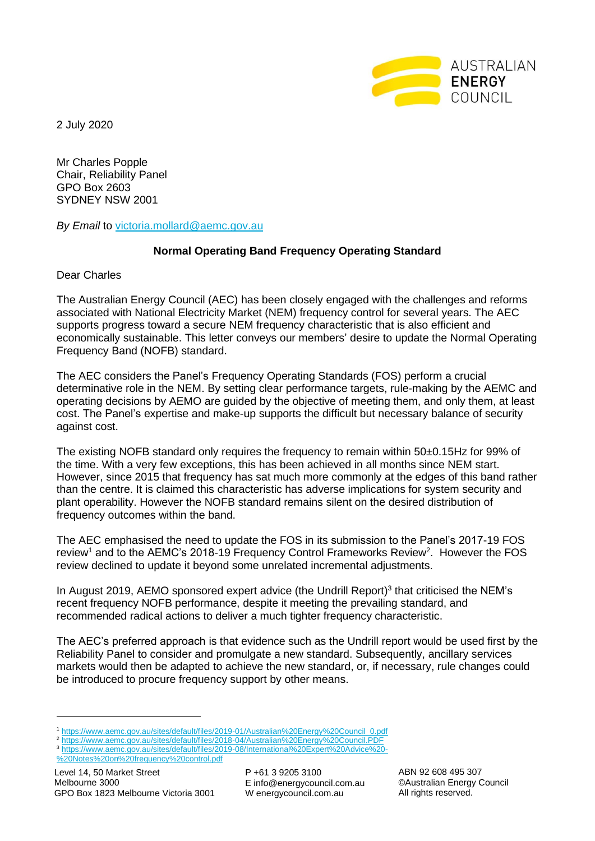

2 July 2020

Mr Charles Popple Chair, Reliability Panel GPO Box 2603 SYDNEY NSW 2001

*By Email* to [victoria.mollard@aemc.gov.au](mailto:victoria.mollard@aemc.gov.au)

## **Normal Operating Band Frequency Operating Standard**

Dear Charles

The Australian Energy Council (AEC) has been closely engaged with the challenges and reforms associated with National Electricity Market (NEM) frequency control for several years. The AEC supports progress toward a secure NEM frequency characteristic that is also efficient and economically sustainable. This letter conveys our members' desire to update the Normal Operating Frequency Band (NOFB) standard.

The AEC considers the Panel's Frequency Operating Standards (FOS) perform a crucial determinative role in the NEM. By setting clear performance targets, rule-making by the AEMC and operating decisions by AEMO are guided by the objective of meeting them, and only them, at least cost. The Panel's expertise and make-up supports the difficult but necessary balance of security against cost.

The existing NOFB standard only requires the frequency to remain within 50±0.15Hz for 99% of the time. With a very few exceptions, this has been achieved in all months since NEM start. However, since 2015 that frequency has sat much more commonly at the edges of this band rather than the centre. It is claimed this characteristic has adverse implications for system security and plant operability. However the NOFB standard remains silent on the desired distribution of frequency outcomes within the band.

The AEC emphasised the need to update the FOS in its submission to the Panel's 2017-19 FOS review<sup>1</sup> and to the AEMC's 2018-19 Frequency Control Frameworks Review<sup>2</sup>. However the FOS review declined to update it beyond some unrelated incremental adjustments.

In August 2019, AEMO sponsored expert advice (the Undrill Report)<sup>3</sup> that criticised the NEM's recent frequency NOFB performance, despite it meeting the prevailing standard, and recommended radical actions to deliver a much tighter frequency characteristic.

The AEC's preferred approach is that evidence such as the Undrill report would be used first by the Reliability Panel to consider and promulgate a new standard. Subsequently, ancillary services markets would then be adapted to achieve the new standard, or, if necessary, rule changes could be introduced to procure frequency support by other means.

P +61 3 9205 3100 E info@energycouncil.com.au W energycouncil.com.au

<sup>1</sup> [https://www.aemc.gov.au/sites/default/files/2019-01/Australian%20Energy%20Council\\_0.pdf](https://www.aemc.gov.au/sites/default/files/2019-01/Australian%20Energy%20Council_0.pdf)

<sup>2</sup> <https://www.aemc.gov.au/sites/default/files/2018-04/Australian%20Energy%20Council.PDF>

<sup>3</sup> [https://www.aemc.gov.au/sites/default/files/2019-08/International%20Expert%20Advice%20-](https://www.aemc.gov.au/sites/default/files/2019-08/International%20Expert%20Advice%20-%20Notes%20on%20frequency%20control.pdf) [%20Notes%20on%20frequency%20control.pdf](https://www.aemc.gov.au/sites/default/files/2019-08/International%20Expert%20Advice%20-%20Notes%20on%20frequency%20control.pdf)